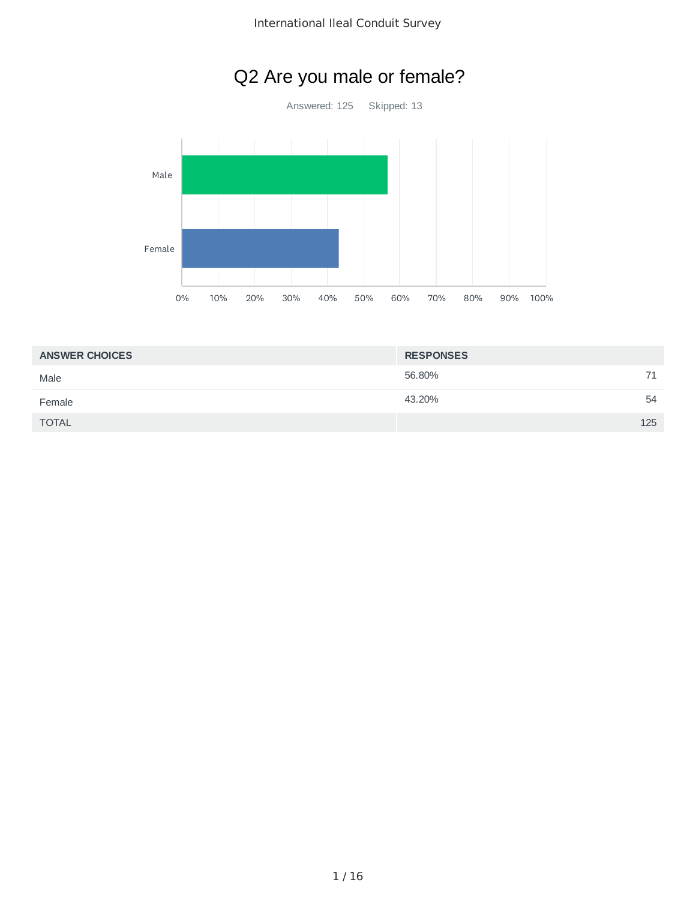# Q2 Are you male or female?

Answered: 125 Skipped: 13



| <b>ANSWER CHOICES</b> | <b>RESPONSES</b> |  |
|-----------------------|------------------|--|
| Male                  | 56.80%<br>71     |  |
| Female                | 43.20%<br>54     |  |
| <b>TOTAL</b>          | 125              |  |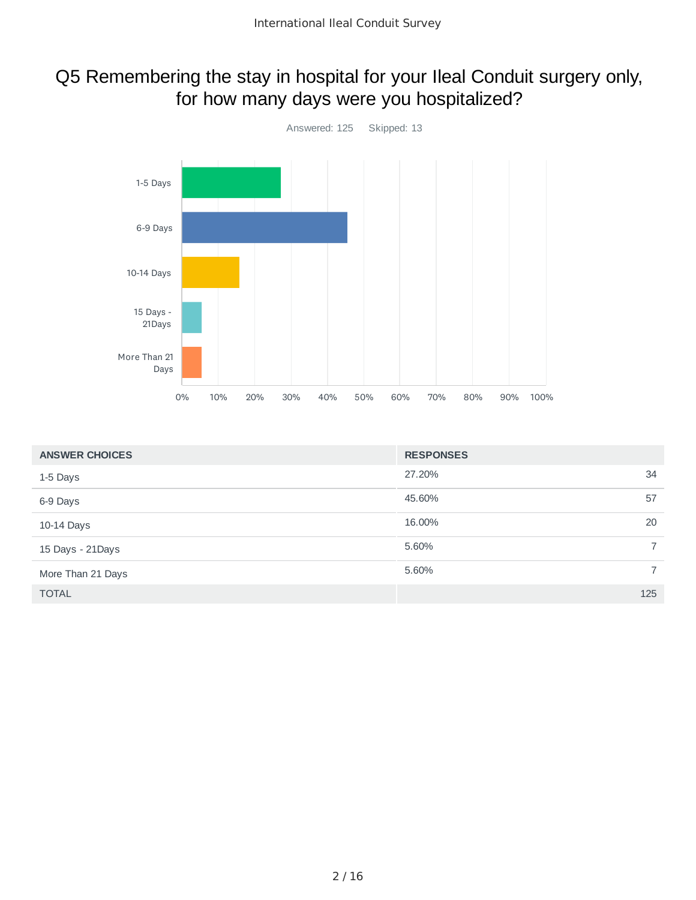# Q5 Remembering the stay in hospital for your Ileal Conduit surgery only, for how many days were you hospitalized?



| <b>ANSWER CHOICES</b> | <b>RESPONSES</b>        |
|-----------------------|-------------------------|
| 1-5 Days              | 27.20%<br>34            |
| 6-9 Days              | 45.60%<br>57            |
| 10-14 Days            | 16.00%<br>20            |
| 15 Days - 21Days      | 5.60%<br>$\overline{7}$ |
| More Than 21 Days     | 5.60%<br>7              |
| <b>TOTAL</b>          | 125                     |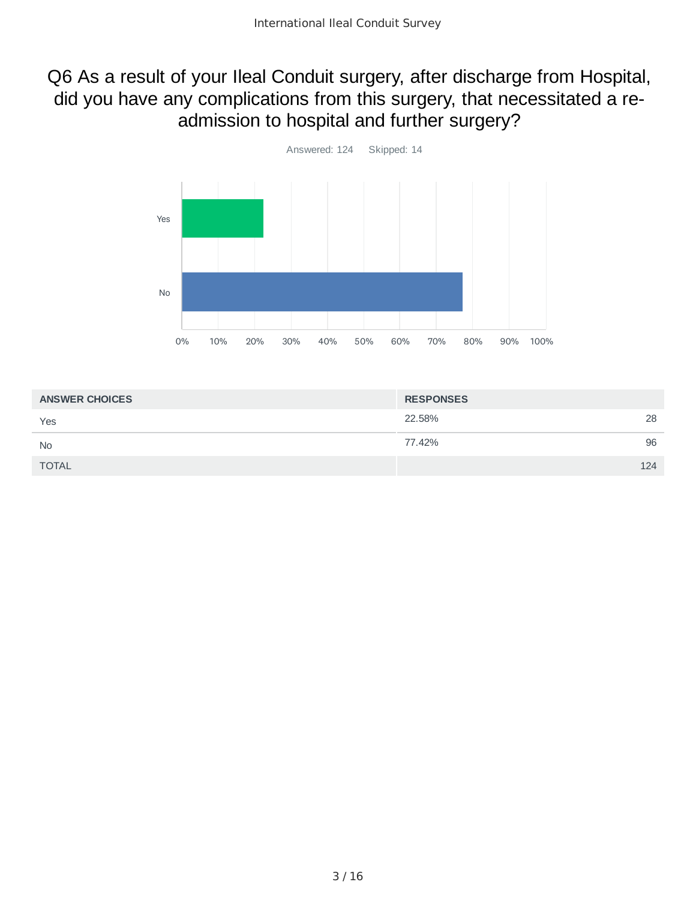# Q6 As a result of your Ileal Conduit surgery, after discharge from Hospital, did you have any complications from this surgery, that necessitated a readmission to hospital and further surgery?



| <b>ANSWER CHOICES</b> | <b>RESPONSES</b> |     |
|-----------------------|------------------|-----|
| Yes                   | 22.58%           | 28  |
| <b>No</b>             | 77.42%           | 96  |
| <b>TOTAL</b>          |                  | 124 |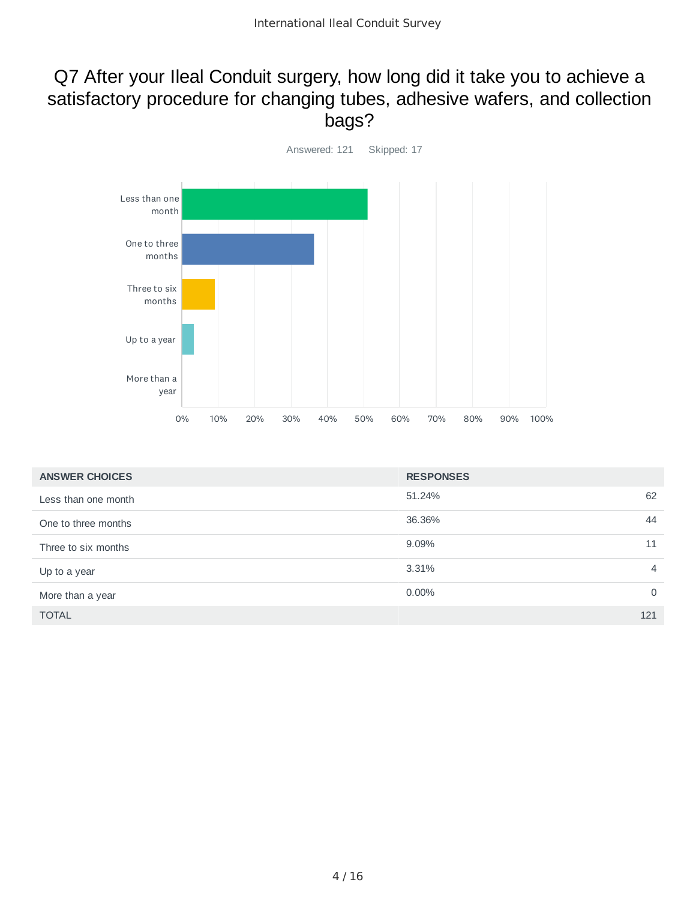### Q7 After your Ileal Conduit surgery, how long did it take you to achieve a satisfactory procedure for changing tubes, adhesive wafers, and collection bags?



| <b>ANSWER CHOICES</b> | <b>RESPONSES</b> |          |
|-----------------------|------------------|----------|
| Less than one month   | 51.24%           | 62       |
| One to three months   | 36.36%           | 44       |
| Three to six months   | 9.09%            | 11       |
| Up to a year          | 3.31%            | 4        |
| More than a year      | $0.00\%$         | $\Omega$ |
| <b>TOTAL</b>          |                  | 121      |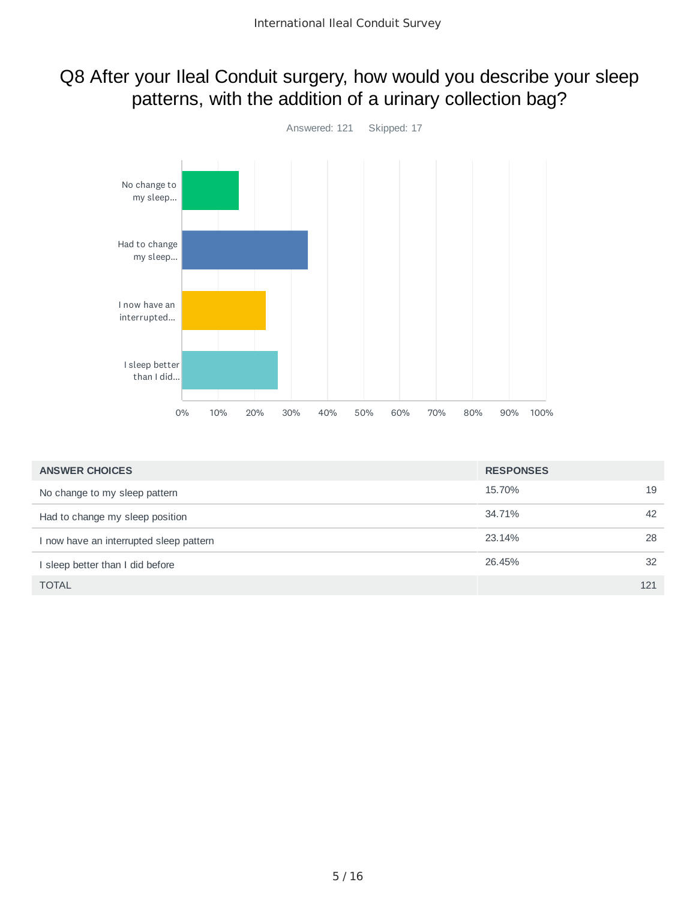### Q8 After your Ileal Conduit surgery, how would you describe your sleep patterns, with the addition of a urinary collection bag?



| <b>ANSWER CHOICES</b>                 | <b>RESPONSES</b> |     |
|---------------------------------------|------------------|-----|
| No change to my sleep pattern         | 15.70%           | 19  |
| Had to change my sleep position       | 34.71%           | 42  |
| now have an interrupted sleep pattern | 23.14%           | 28  |
| I sleep better than I did before      | 26.45%           | 32  |
| <b>TOTAL</b>                          |                  | 121 |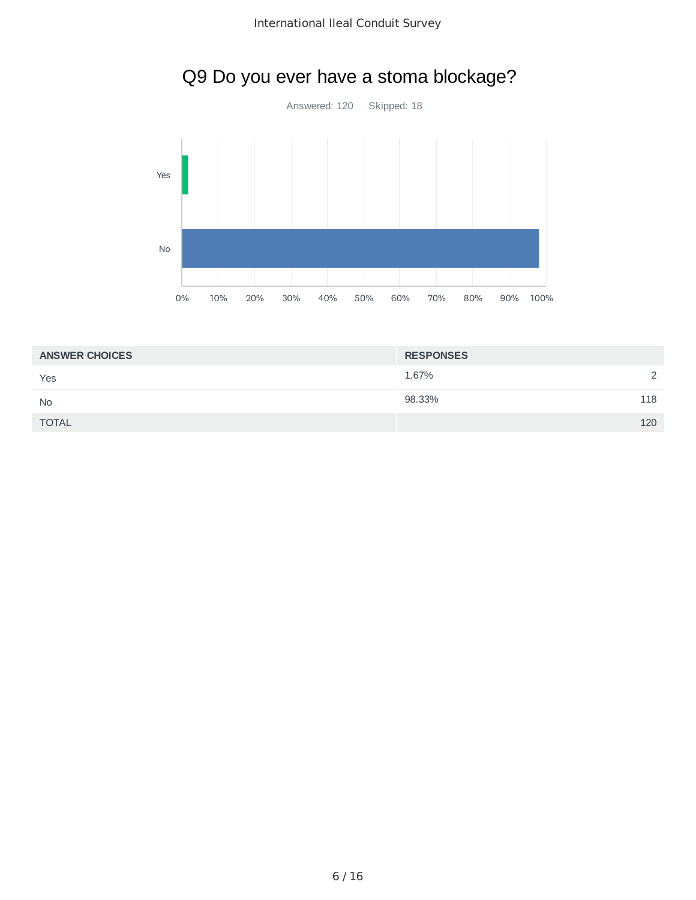

# Q9 Do you ever have a stoma blockage?

| <b>ANSWER CHOICES</b> | <b>RESPONSES</b> |          |
|-----------------------|------------------|----------|
| Yes                   | 1.67%            | $\Omega$ |
| <b>No</b>             | 98.33%           | 118      |
| <b>TOTAL</b>          |                  | 120      |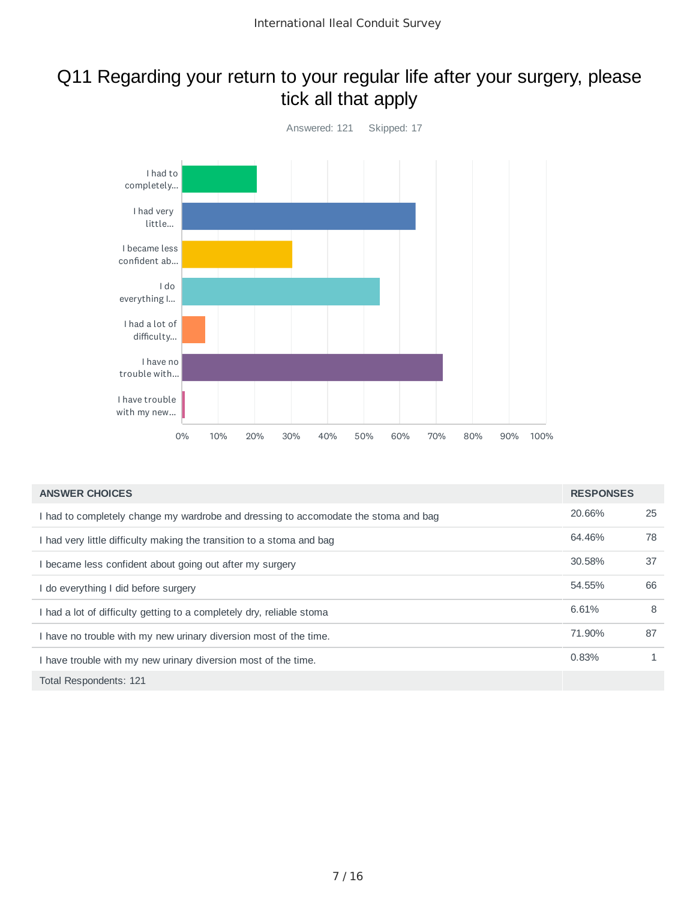### Q11 Regarding your return to your regular life after your surgery, please tick all that apply



| <b>ANSWER CHOICES</b>                                                               | <b>RESPONSES</b> |    |
|-------------------------------------------------------------------------------------|------------------|----|
| I had to completely change my wardrobe and dressing to accomodate the stoma and bag | 20.66%           | 25 |
| I had very little difficulty making the transition to a stoma and bag               | 64.46%           | 78 |
| I became less confident about going out after my surgery                            | 30.58%           | 37 |
| I do everything I did before surgery                                                | 54.55%           | 66 |
| I had a lot of difficulty getting to a completely dry, reliable stoma               | 6.61%            | 8  |
| I have no trouble with my new urinary diversion most of the time.                   | 71.90%           | 87 |
| I have trouble with my new urinary diversion most of the time.                      | 0.83%            |    |
| Total Respondents: 121                                                              |                  |    |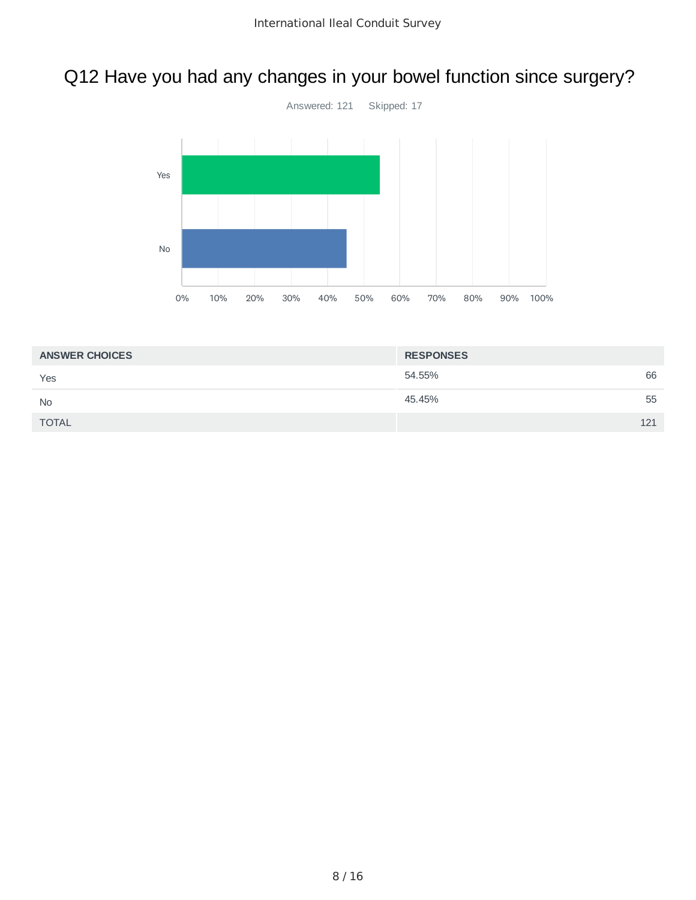# Q12 Have you had any changes in your bowel function since surgery?



| <b>ANSWER CHOICES</b> | <b>RESPONSES</b> |    |
|-----------------------|------------------|----|
| Yes                   | 54.55%           | 66 |
| <b>No</b>             | 45.45%           | 55 |
| <b>TOTAL</b>          | 121              |    |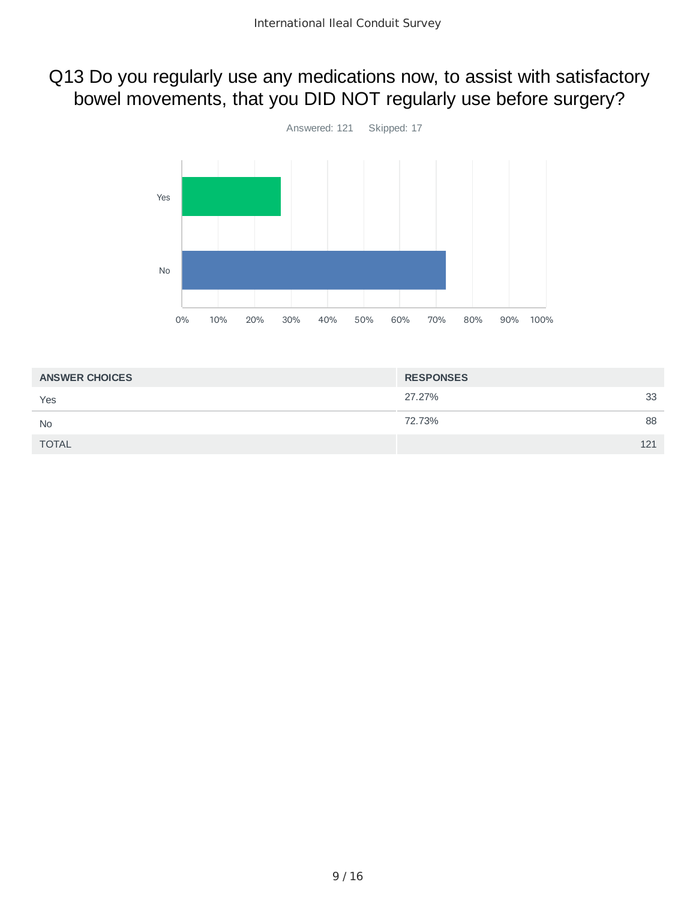## Q13 Do you regularly use any medications now, to assist with satisfactory bowel movements, that you DID NOT regularly use before surgery?



| <b>ANSWER CHOICES</b> | <b>RESPONSES</b> |     |
|-----------------------|------------------|-----|
| Yes                   | 27.27%           | 33  |
| <b>No</b>             | 72.73%           | 88  |
| <b>TOTAL</b>          |                  | 121 |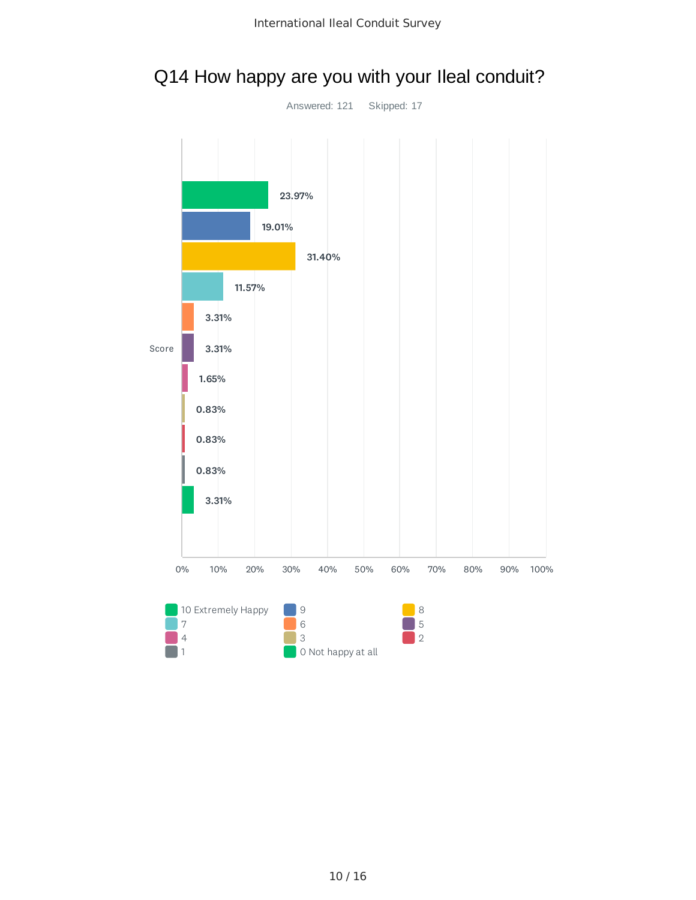

#### Q14 How happy are you with your Ileal conduit?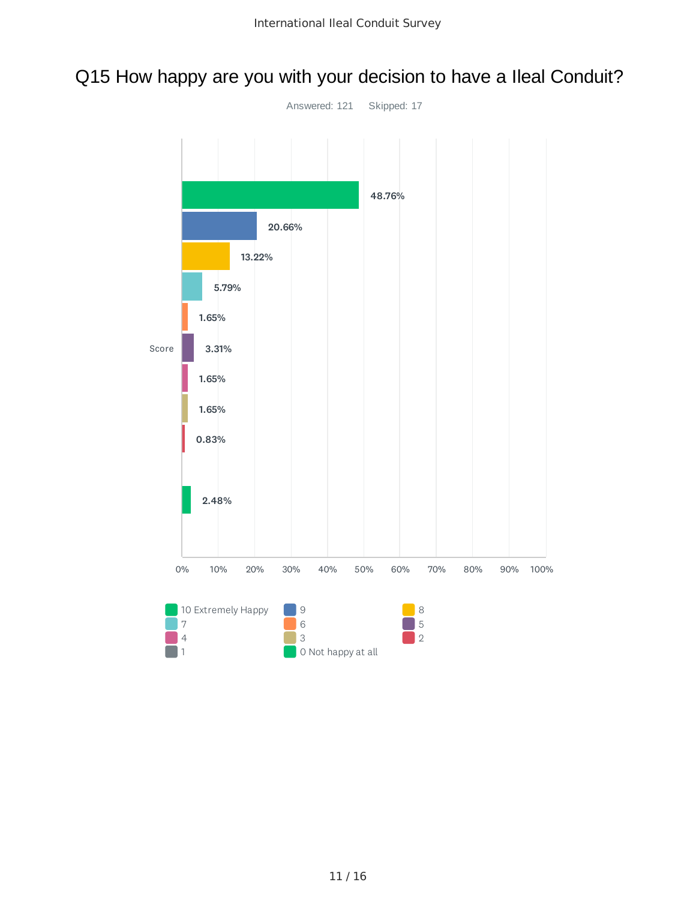# Q15 How happy are you with your decision to have a Ileal Conduit?

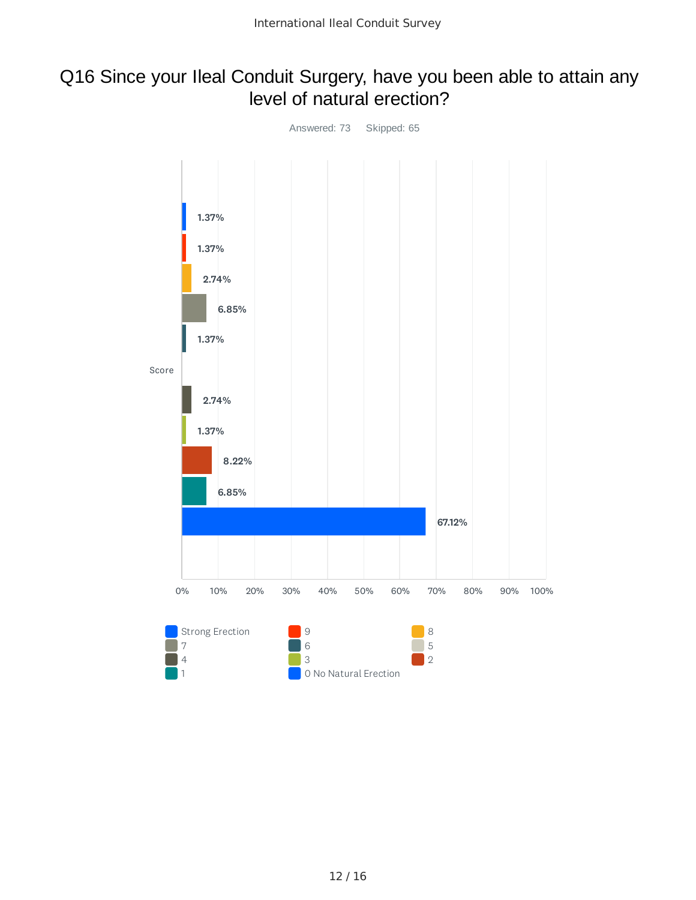#### Q16 Since your Ileal Conduit Surgery, have you been able to attain any level of natural erection?

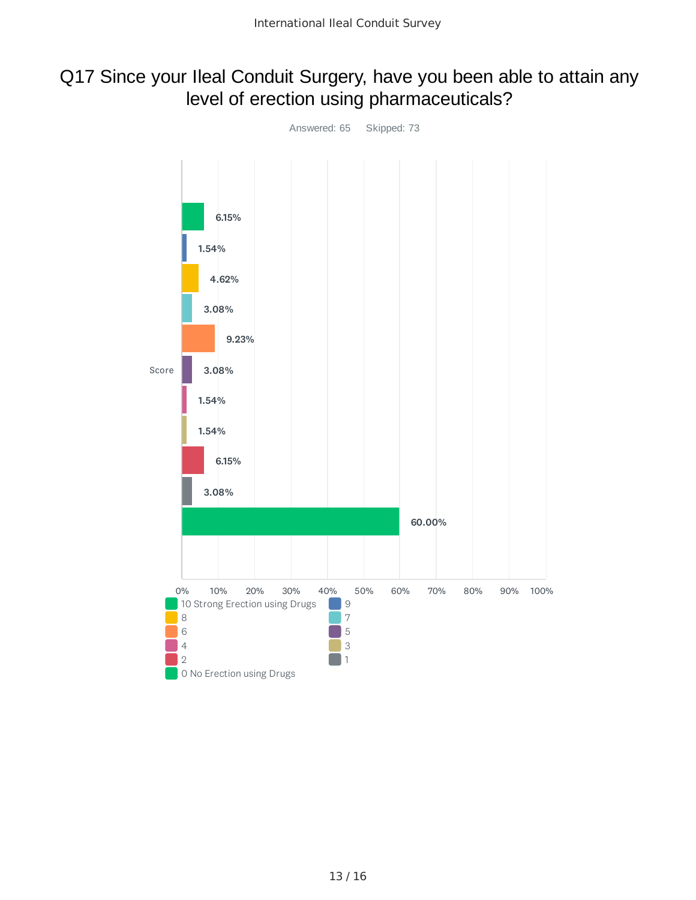#### Q17 Since your Ileal Conduit Surgery, have you been able to attain any level of erection using pharmaceuticals?

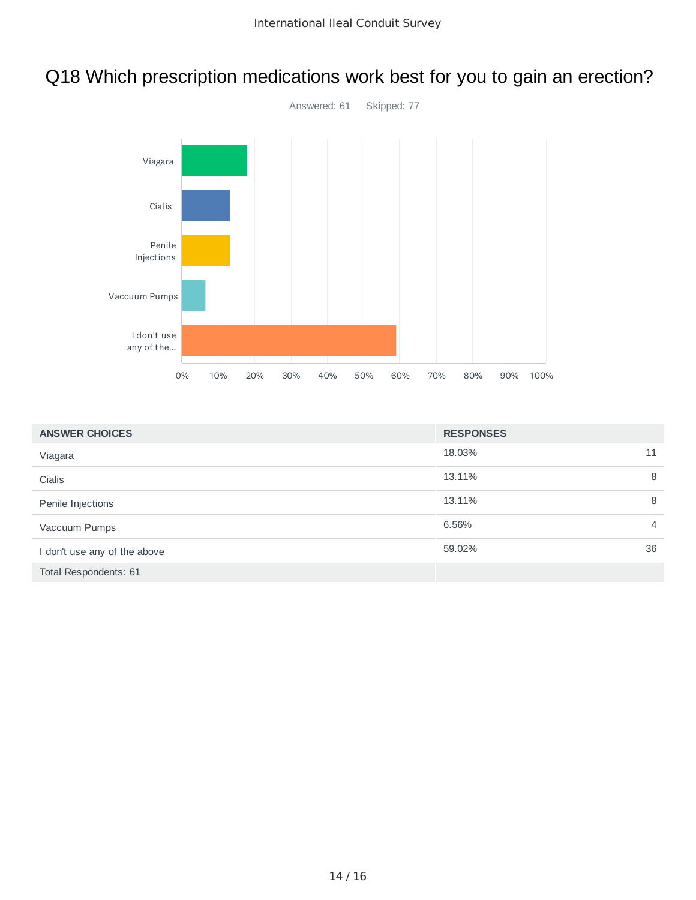# Q18 Which prescription medications work best for you to gain an erection?



| <b>ANSWER CHOICES</b>        | <b>RESPONSES</b> |                |
|------------------------------|------------------|----------------|
| Viagara                      | 18.03%           | 11             |
| Cialis                       | 13.11%           | 8              |
| Penile Injections            | 13.11%           | 8              |
| Vaccuum Pumps                | 6.56%            | $\overline{4}$ |
| I don't use any of the above | 59.02%           | 36             |
| Total Respondents: 61        |                  |                |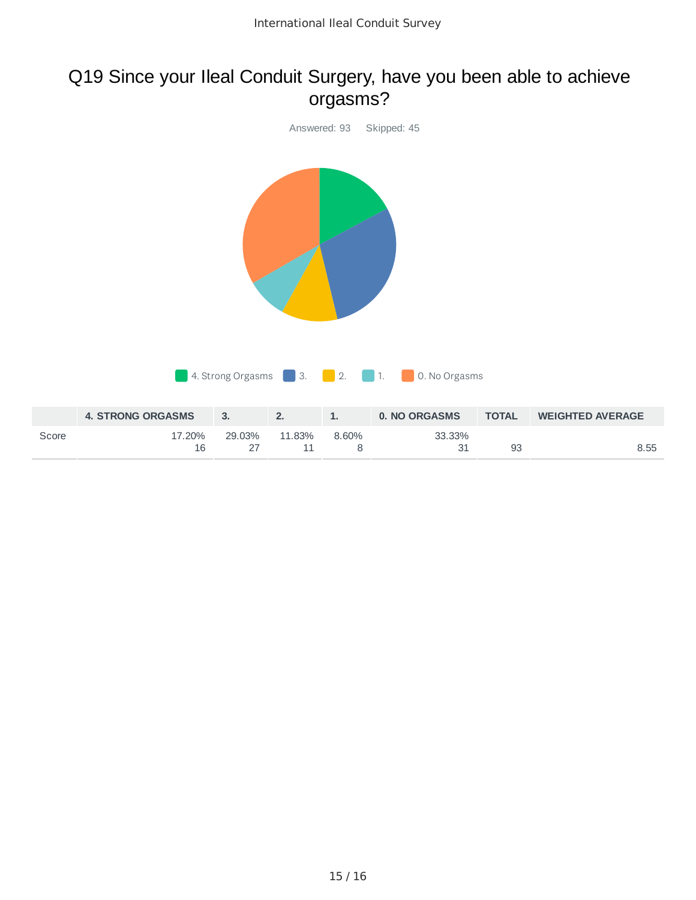### Q19 Since your Ileal Conduit Surgery, have you been able to achieve orgasms?



8

31 93 8.55

16

27

11